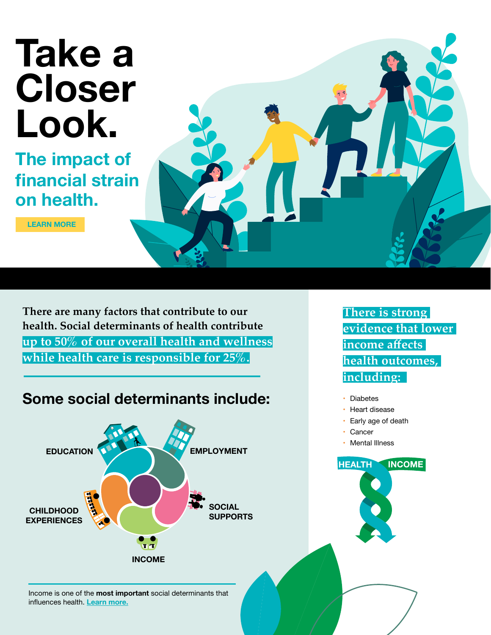# **Take a Closer Look.**

**The impact of financial strain on health.**

**[LEARN MORE](http://www.healthiertogether.ca)**



### **Some social determinants include:**



Income is one of the **most important** social determinants that influences health. **[Learn more.](https://www.canada.ca/en/public-health/services/health-promotion/population-health/what-determines-health.html)**

**There is strong evidence that lower income affects health outcomes, including:** 

**INCOME** 

- **Diabetes**
- Heart disease
- Early age of death
- **Cancer**

**HEALTH** 

• Mental Illness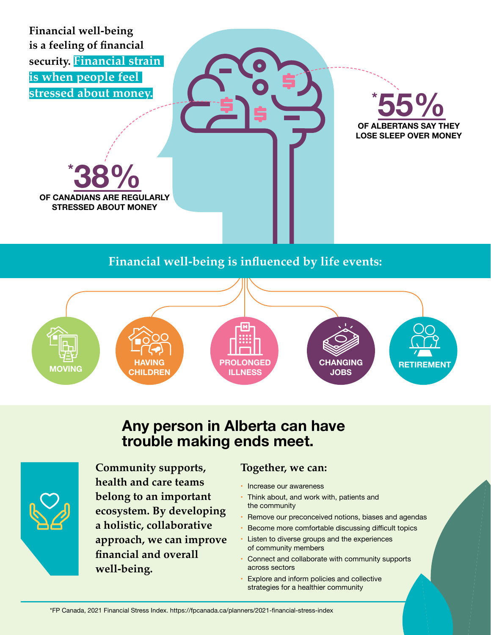**Financial well-being is a feeling of financial security. Financial strain is when people feel stressed about money.**

**Societal factors such as the economy and government policies also play a major** 

**role in financial well-being.** 



**\* OF CANADIANS ARE REGULARLY STRESSED ABOUT MONEY**

### **Financial well-being is influenced by life events:**



### **Any person in Alberta can have trouble making ends meet.**



**Community supports, health and care teams belong to an important ecosystem. By developing a holistic, collaborative approach, we can improve financial and overall well-being.**

### **Together, we can:**

- Increase our awareness
- Think about, and work with, patients and the community
- Remove our preconceived notions, biases and agendas
- Become more comfortable discussing difficult topics • Listen to diverse groups and the experiences
- of community members
- Connect and collaborate with community supports across sectors
- Explore and inform policies and collective strategies for a healthier community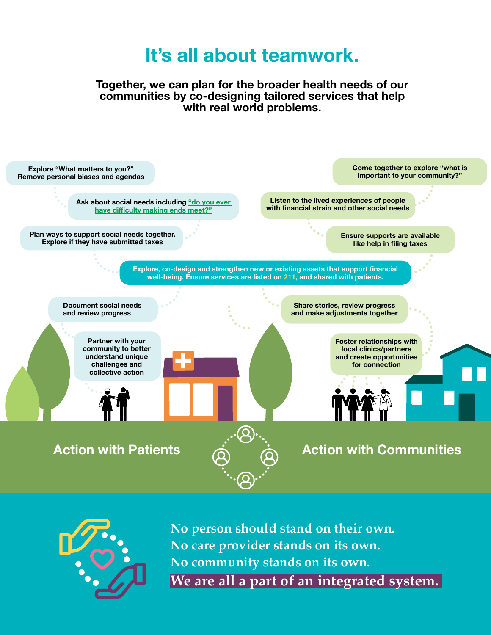# **It's all about teamwork.**

**Together, we can plan for the broader health needs of our communities by co-designing tailored services that help with real world problems.** 





**No person should stand on their own. No care provider stands on its own. No community stands on its own. We are all a part of an integrated system.**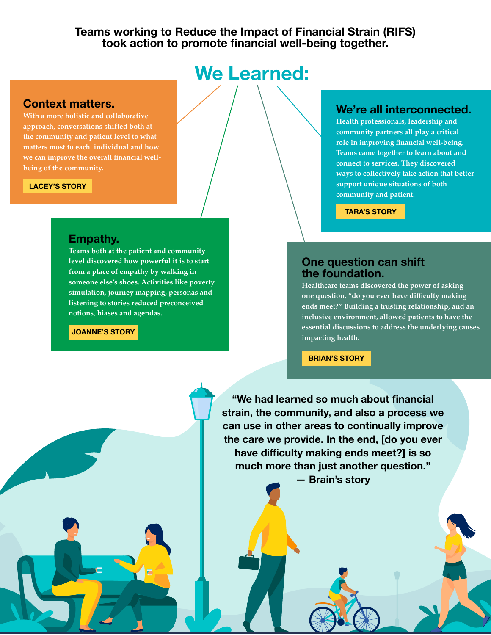### **Teams working to Reduce the Impact of Financial Strain (RIFS) took action to promote financial well-being together.**

# **We Learned:**

#### **Context matters.**

**With a more holistic and collaborative approach, conversations shifted both at the community and patient level to what matters most to each individual and how we can improve the overall financial wellbeing of the community.** 

#### **[LACEY'S STORY](https://www.youtube.com/watch?v=PxaRM4MI6uM&list=PLi1tOF1I5ZoXTJnxPKls0-7f2MzTpQmVH&index=6)**

#### **Empathy.**

**Teams both at the patient and community level discovered how powerful it is to start from a place of empathy by walking in someone else's shoes. Activities like poverty simulation, journey mapping, personas and listening to stories reduced preconceived notions, biases and agendas.**

**[JOANNE'S STORY](https://www.youtube.com/watch?v=cfID6aQcq7U&list=PLi1tOF1I5ZoXTJnxPKls0-7f2MzTpQmVH&index=11)**

### **We're all interconnected.**

**Health professionals, leadership and community partners all play a critical role in improving financial well-being. Teams came together to learn about and connect to services. They discovered ways to collectively take action that better support unique situations of both community and patient.** 

**[TARA'S STORY](https://www.youtube.com/watch?v=dypVnijBqz8&list=PLi1tOF1I5ZoXTJnxPKls0-7f2MzTpQmVH&index=12)**

### **One question can shift the foundation.**

**Healthcare teams discovered the power of asking one question, "do you ever have difficulty making ends meet?" Building a trusting relationship, and an inclusive environment, allowed patients to have the essential discussions to address the underlying causes impacting health.**

**[BRIAN'S STORY](https://www.youtube.com/watch?v=XkrEATOqObg&list=PLi1tOF1I5ZoXTJnxPKls0-7f2MzTpQmVH&index=8)**

**"We had learned so much about financial strain, the community, and also a process we can use in other areas to continually improve the care we provide. In the end, [do you ever have difficulty making ends meet?] is so much more than just another question."** 

**— Brain's story**